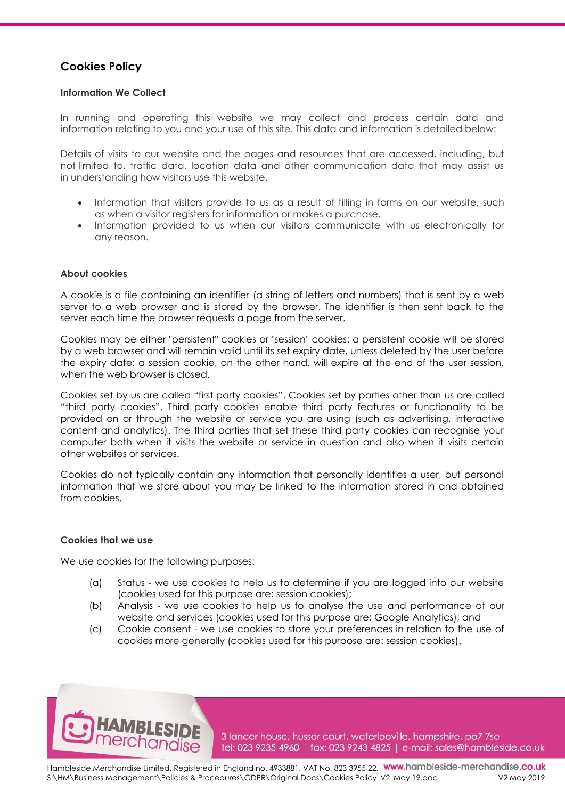# **Cookies Policy**

## **Information We Collect**

In running and operating this website we may collect and process certain data and information relating to you and your use of this site. This data and information is detailed below:

Details of visits to our website and the pages and resources that are accessed, including, but not limited to, traffic data, location data and other communication data that may assist us in understanding how visitors use this website.

- Information that visitors provide to us as a result of filling in forms on our website, such as when a visitor registers for information or makes a purchase.
- Information provided to us when our visitors communicate with us electronically for any reason.

## **About cookies**

A cookie is a file containing an identifier (a string of letters and numbers) that is sent by a web server to a web browser and is stored by the browser. The identifier is then sent back to the server each time the browser requests a page from the server.

Cookies may be either "persistent" cookies or "session" cookies: a persistent cookie will be stored by a web browser and will remain valid until its set expiry date, unless deleted by the user before the expiry date; a session cookie, on the other hand, will expire at the end of the user session, when the web browser is closed.

Cookies set by us are called "first party cookies". Cookies set by parties other than us are called "third party cookies". Third party cookies enable third party features or functionality to be provided on or through the website or service you are using (such as advertising, interactive content and analytics). The third parties that set these third party cookies can recognise your computer both when it visits the website or service in question and also when it visits certain other websites or services.

Cookies do not typically contain any information that personally identifies a user, but personal information that we store about you may be linked to the information stored in and obtained from cookies.

#### **Cookies that we use**

We use cookies for the following purposes:

- (a) Status we use cookies to help us to determine if you are logged into our website (cookies used for this purpose are: session cookies);
- (b) Analysis we use cookies to help us to analyse the use and performance of our website and services (cookies used for this purpose are: Google Analytics); and
- (c) Cookie consent we use cookies to store your preferences in relation to the use of cookies more generally (cookies used for this purpose are: session cookies).



3 lancer house, hussar court, waterlooville, hampshire, po7 7se tel: 023 9235 4960 | fax: 023 9243 4825 | e-mail: sales@hambleside.co.uk